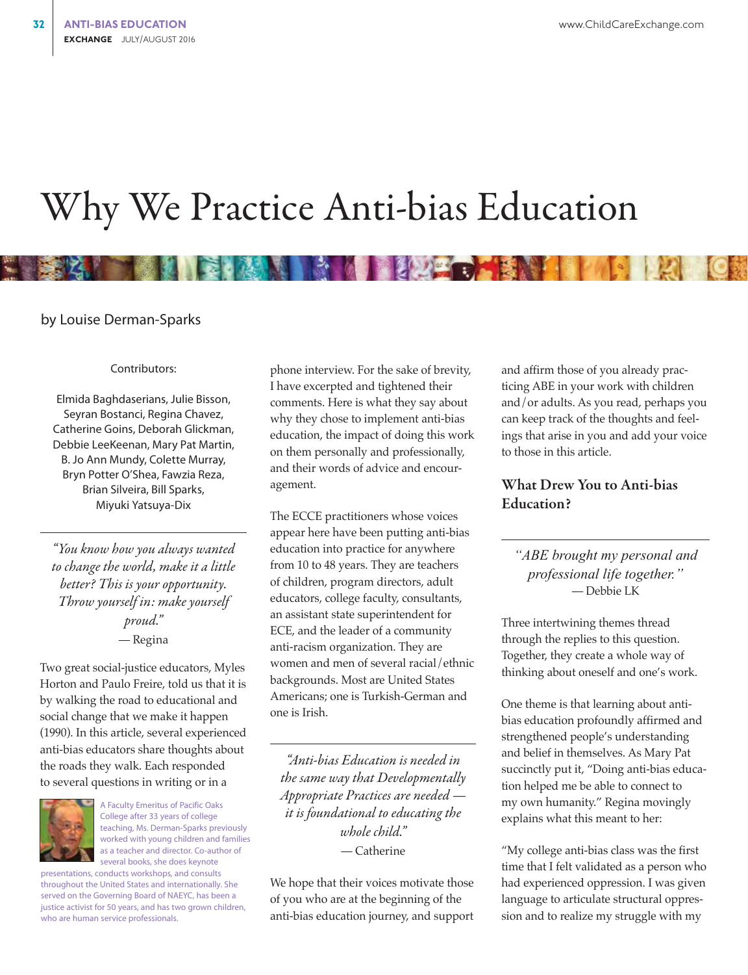# Why We Practice Anti-bias Education

#### by Louise Derman-Sparks

#### Contributors:

Elmida Baghdaserians, Julie Bisson, Seyran Bostanci, Regina Chavez, Catherine Goins, Deborah Glickman, Debbie LeeKeenan, Mary Pat Martin, B. Jo Ann Mundy, Colette Murray, Bryn Potter O'Shea, Fawzia Reza, Brian Silveira, Bill Sparks, Miyuki Yatsuya-Dix

*"You know how you always wanted to change the world, make it a little better? This is your opportunity. Throw yourself in: make yourself proud."* — Regina

Two great social-justice educators, Myles Horton and Paulo Freire, told us that it is by walking the road to educational and social change that we make it happen (1990). In this article, several experienced anti-bias educators share thoughts about the roads they walk. Each responded to several questions in writing or in a



A Faculty Emeritus of Pacific Oaks College after 33 years of college teaching, Ms. Derman-Sparks previously worked with young children and families as a teacher and director. Co-author of several books, she does keynote

presentations, conducts workshops, and consults throughout the United States and internationally. She served on the Governing Board of NAEYC, has been a justice activist for 50 years, and has two grown children, who are human service professionals.

phone interview. For the sake of brevity, I have excerpted and tightened their comments. Here is what they say about why they chose to implement anti-bias education, the impact of doing this work on them personally and professionally, and their words of advice and encouragement.

**A BLAZE** 

The ECCE practitioners whose voices appear here have been putting anti-bias education into practice for anywhere from 10 to 48 years. They are teachers of children, program directors, adult educators, college faculty, consultants, an assistant state superintendent for ECE, and the leader of a community anti-racism organization. They are women and men of several racial/ethnic backgrounds. Most are United States Americans; one is Turkish-German and one is Irish.

*"Anti-bias Education is needed in the same way that Developmentally Appropriate Practices are needed it is foundational to educating the whole child."* — Catherine

We hope that their voices motivate those of you who are at the beginning of the anti-bias education journey, and support

and affirm those of you already practicing ABE in your work with children and/or adults. As you read, perhaps you can keep track of the thoughts and feelings that arise in you and add your voice to those in this article.

# What Drew You to Anti-bias Education?

*"ABE brought my personal and professional life together."* — Debbie LK

Three intertwining themes thread through the replies to this question. Together, they create a whole way of thinking about oneself and one's work.

One theme is that learning about antibias education profoundly affirmed and strengthened people's understanding and belief in themselves. As Mary Pat succinctly put it, "Doing anti-bias education helped me be able to connect to my own humanity." Regina movingly explains what this meant to her:

"My college anti-bias class was the first time that I felt validated as a person who had experienced oppression. I was given language to articulate structural oppression and to realize my struggle with my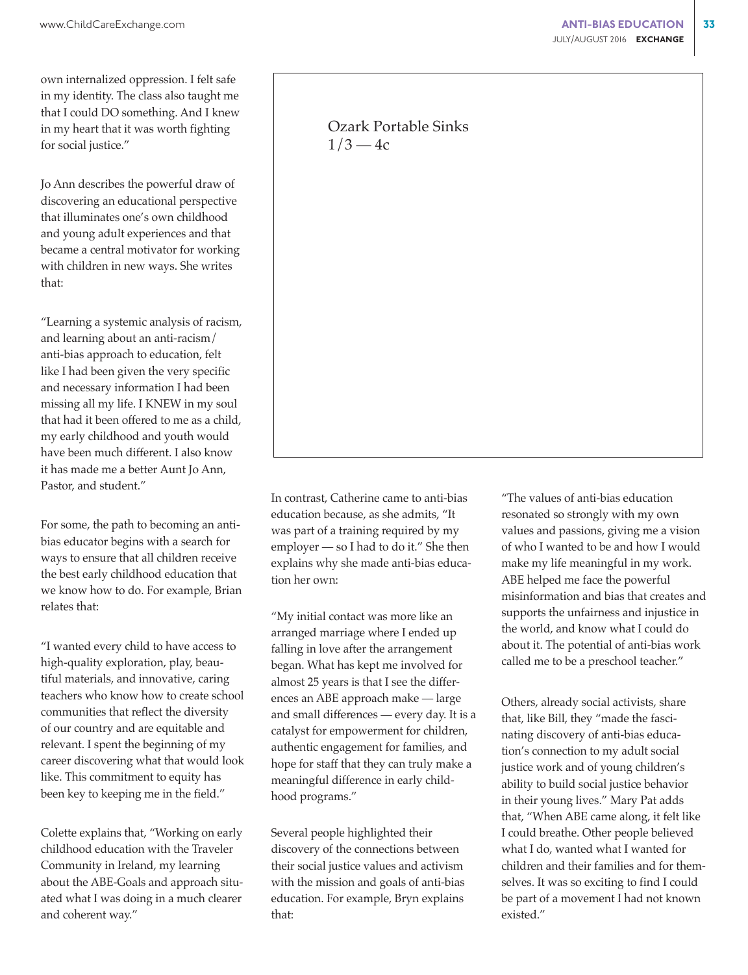own internalized oppression. I felt safe in my identity. The class also taught me that I could DO something. And I knew in my heart that it was worth fighting for social justice."

Jo Ann describes the powerful draw of discovering an educational perspective that illuminates one's own childhood and young adult experiences and that became a central motivator for working with children in new ways. She writes that:

"Learning a systemic analysis of racism, and learning about an anti-racism/ anti-bias approach to education, felt like I had been given the very specific and necessary information I had been missing all my life. I KNEW in my soul that had it been offered to me as a child, my early childhood and youth would have been much different. I also know it has made me a better Aunt Jo Ann, Pastor, and student."

For some, the path to becoming an antibias educator begins with a search for ways to ensure that all children receive the best early childhood education that we know how to do. For example, Brian relates that:

"I wanted every child to have access to high-quality exploration, play, beautiful materials, and innovative, caring teachers who know how to create school communities that reflect the diversity of our country and are equitable and relevant. I spent the beginning of my career discovering what that would look like. This commitment to equity has been key to keeping me in the field."

Colette explains that, "Working on early childhood education with the Traveler Community in Ireland, my learning about the ABE-Goals and approach situated what I was doing in a much clearer and coherent way."

# Ozark Portable Sinks  $1/3 - 4c$

In contrast, Catherine came to anti-bias education because, as she admits, "It was part of a training required by my employer — so I had to do it." She then explains why she made anti-bias education her own:

"My initial contact was more like an arranged marriage where I ended up falling in love after the arrangement began. What has kept me involved for almost 25 years is that I see the differences an ABE approach make — large and small differences — every day. It is a catalyst for empowerment for children, authentic engagement for families, and hope for staff that they can truly make a meaningful difference in early childhood programs."

Several people highlighted their discovery of the connections between their social justice values and activism with the mission and goals of anti-bias education. For example, Bryn explains that:

"The values of anti-bias education resonated so strongly with my own values and passions, giving me a vision of who I wanted to be and how I would make my life meaningful in my work. ABE helped me face the powerful misinformation and bias that creates and supports the unfairness and injustice in the world, and know what I could do about it. The potential of anti-bias work called me to be a preschool teacher."

Others, already social activists, share that, like Bill, they "made the fascinating discovery of anti-bias education's connection to my adult social justice work and of young children's ability to build social justice behavior in their young lives." Mary Pat adds that, "When ABE came along, it felt like I could breathe. Other people believed what I do, wanted what I wanted for children and their families and for themselves. It was so exciting to find I could be part of a movement I had not known existed."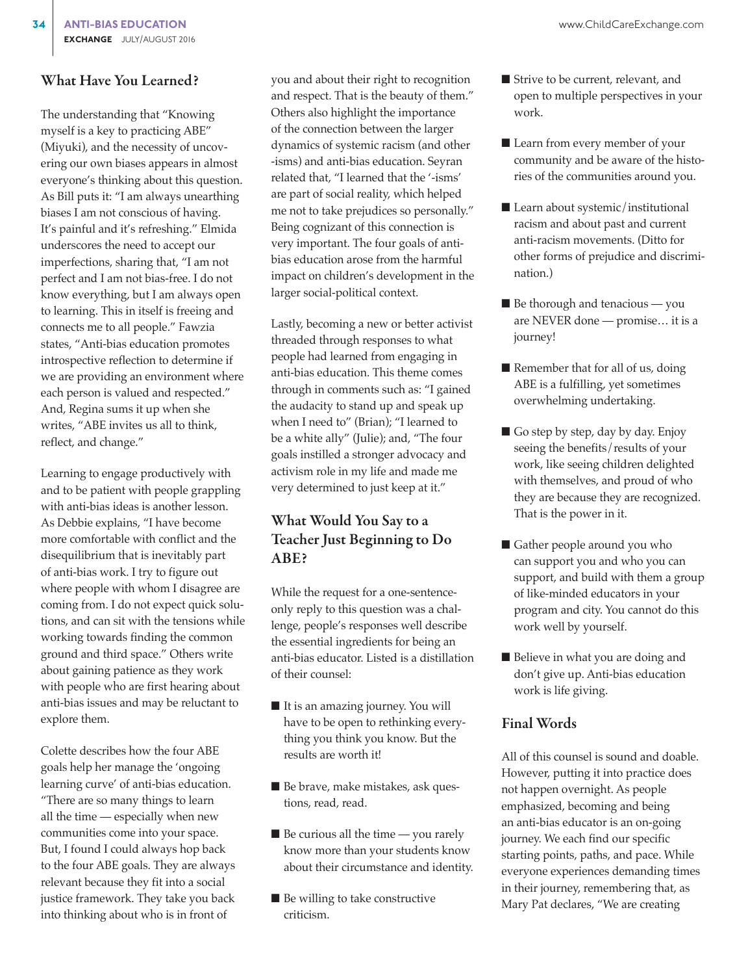## What Have You Learned?

The understanding that "Knowing myself is a key to practicing ABE" (Miyuki), and the necessity of uncovering our own biases appears in almost everyone's thinking about this question. As Bill puts it: "I am always unearthing biases I am not conscious of having. It's painful and it's refreshing." Elmida underscores the need to accept our imperfections, sharing that, "I am not perfect and I am not bias-free. I do not know everything, but I am always open to learning. This in itself is freeing and connects me to all people." Fawzia states, "Anti-bias education promotes introspective reflection to determine if we are providing an environment where each person is valued and respected." And, Regina sums it up when she writes, "ABE invites us all to think, reflect, and change."

Learning to engage productively with and to be patient with people grappling with anti-bias ideas is another lesson. As Debbie explains, "I have become more comfortable with conflict and the disequilibrium that is inevitably part of anti-bias work. I try to figure out where people with whom I disagree are coming from. I do not expect quick solutions, and can sit with the tensions while working towards finding the common ground and third space." Others write about gaining patience as they work with people who are first hearing about anti-bias issues and may be reluctant to explore them.

Colette describes how the four ABE goals help her manage the 'ongoing learning curve' of anti-bias education. "There are so many things to learn all the time — especially when new communities come into your space. But, I found I could always hop back to the four ABE goals. They are always relevant because they fit into a social justice framework. They take you back into thinking about who is in front of

you and about their right to recognition and respect. That is the beauty of them." Others also highlight the importance of the connection between the larger dynamics of systemic racism (and other -isms) and anti-bias education. Seyran related that, "I learned that the '-isms' are part of social reality, which helped me not to take prejudices so personally." Being cognizant of this connection is very important. The four goals of antibias education arose from the harmful impact on children's development in the larger social-political context.

Lastly, becoming a new or better activist threaded through responses to what people had learned from engaging in anti-bias education. This theme comes through in comments such as: "I gained the audacity to stand up and speak up when I need to" (Brian); "I learned to be a white ally" (Julie); and, "The four goals instilled a stronger advocacy and activism role in my life and made me very determined to just keep at it."

# What Would You Say to a Teacher Just Beginning to Do ABE?

While the request for a one-sentenceonly reply to this question was a challenge, people's responses well describe the essential ingredients for being an anti-bias educator. Listed is a distillation of their counsel:

- It is an amazing journey. You will have to be open to rethinking everything you think you know. But the results are worth it!
- Be brave, make mistakes, ask questions, read, read.
- $\blacksquare$  Be curious all the time you rarely know more than your students know about their circumstance and identity.
- Be willing to take constructive criticism.
- Strive to be current, relevant, and open to multiple perspectives in your work.
- Learn from every member of your community and be aware of the histories of the communities around you.
- Learn about systemic/institutional racism and about past and current anti-racism movements. (Ditto for other forms of prejudice and discrimination.)
- Be thorough and tenacious you are NEVER done — promise… it is a journey!
- Remember that for all of us, doing ABE is a fulfilling, yet sometimes overwhelming undertaking.
- Go step by step, day by day. Enjoy seeing the benefits/results of your work, like seeing children delighted with themselves, and proud of who they are because they are recognized. That is the power in it.
- Gather people around you who can support you and who you can support, and build with them a group of like-minded educators in your program and city. You cannot do this work well by yourself.
- Believe in what you are doing and don't give up. Anti-bias education work is life giving.

### Final Words

All of this counsel is sound and doable. However, putting it into practice does not happen overnight. As people emphasized, becoming and being an anti-bias educator is an on-going journey. We each find our specific starting points, paths, and pace. While everyone experiences demanding times in their journey, remembering that, as Mary Pat declares, "We are creating